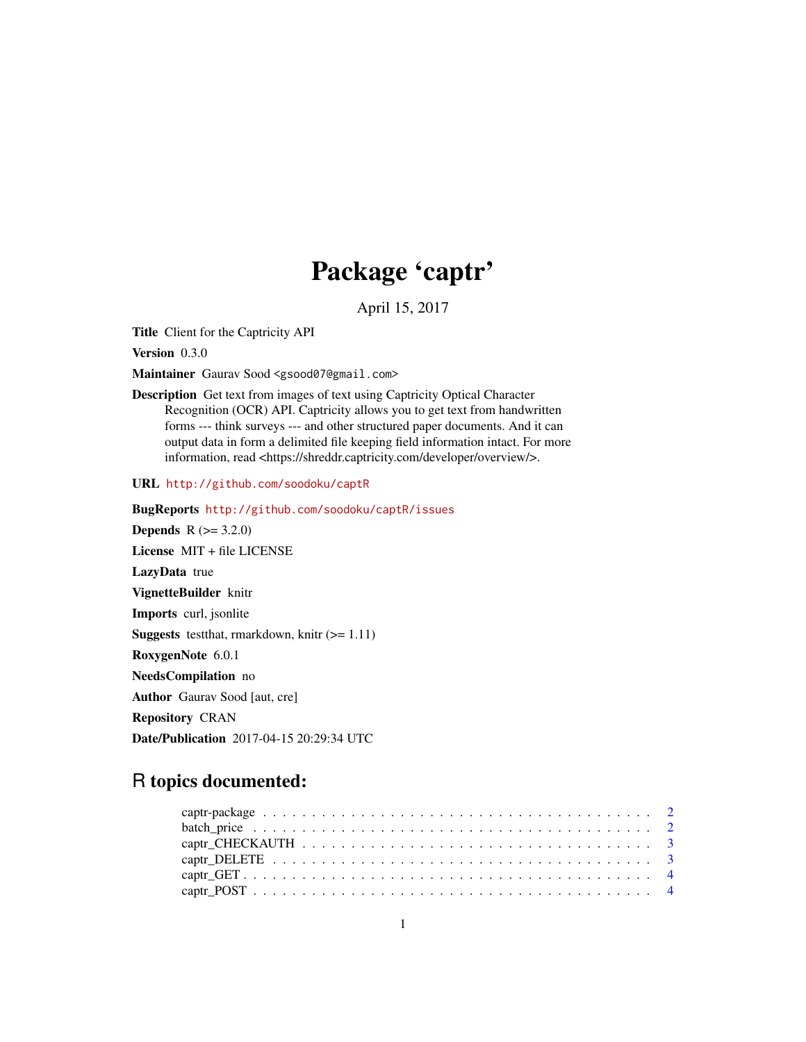# Package 'captr'

April 15, 2017

<span id="page-0-0"></span>Title Client for the Captricity API

Version 0.3.0

Maintainer Gaurav Sood <gsood07@gmail.com>

Description Get text from images of text using Captricity Optical Character Recognition (OCR) API. Captricity allows you to get text from handwritten forms --- think surveys --- and other structured paper documents. And it can output data in form a delimited file keeping field information intact. For more information, read <https://shreddr.captricity.com/developer/overview/>.

URL <http://github.com/soodoku/captR>

BugReports <http://github.com/soodoku/captR/issues> **Depends**  $R (= 3.2.0)$ License MIT + file LICENSE LazyData true VignetteBuilder knitr Imports curl, jsonlite **Suggests** test that, rmarkdown, knitr  $(>= 1.11)$ RoxygenNote 6.0.1 NeedsCompilation no Author Gaurav Sood [aut, cre] Repository CRAN Date/Publication 2017-04-15 20:29:34 UTC

R topics documented: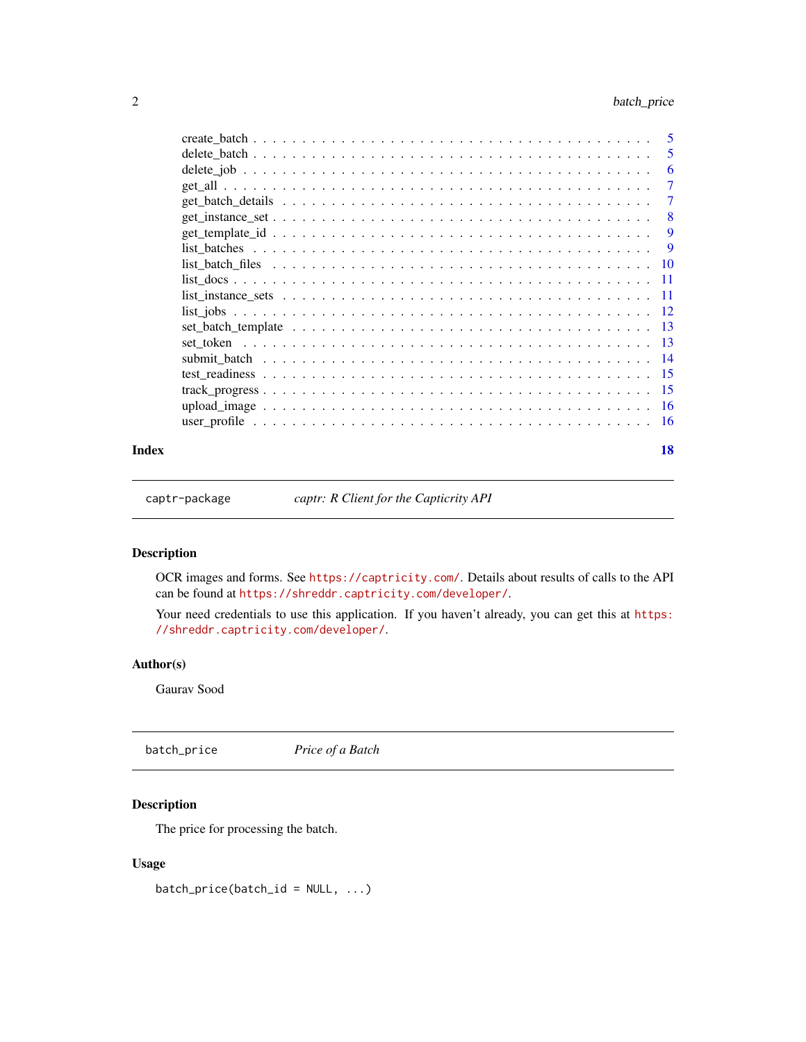<span id="page-1-0"></span>

|       | -6                        |
|-------|---------------------------|
|       |                           |
|       | $\overline{7}$            |
|       | $\overline{\phantom{0}}8$ |
|       |                           |
|       |                           |
|       |                           |
|       |                           |
|       |                           |
|       |                           |
|       |                           |
|       |                           |
|       |                           |
|       |                           |
|       |                           |
|       |                           |
|       |                           |
| Index | 18                        |

captr-package *captr: R Client for the Capticrity API*

# Description

OCR images and forms. See <https://captricity.com/>. Details about results of calls to the API can be found at <https://shreddr.captricity.com/developer/>.

Your need credentials to use this application. If you haven't already, you can get this at [https:](https://shreddr.captricity.com/developer/) [//shreddr.captricity.com/developer/](https://shreddr.captricity.com/developer/).

# Author(s)

Gaurav Sood

batch\_price *Price of a Batch*

# Description

The price for processing the batch.

### Usage

 $batch\_price(batch_id = NULL, ...)$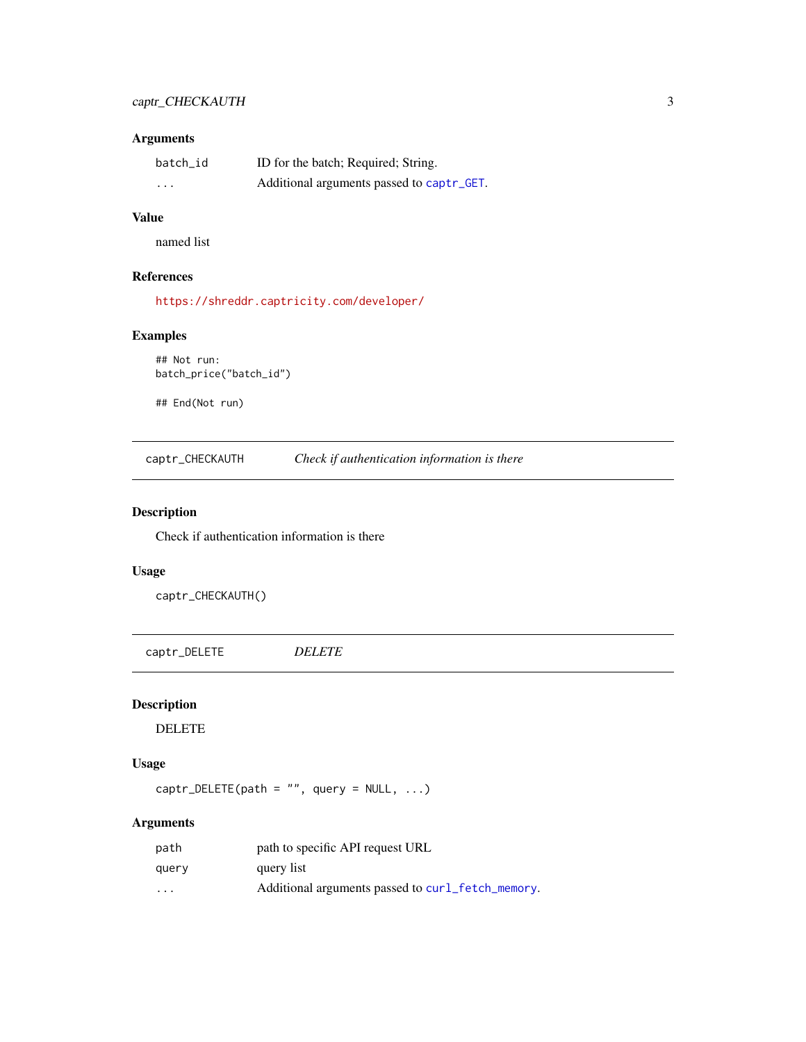# <span id="page-2-0"></span>Arguments

| batch_id | ID for the batch; Required; String.       |
|----------|-------------------------------------------|
| $\cdot$  | Additional arguments passed to captr_GET. |

# Value

named list

# References

<https://shreddr.captricity.com/developer/>

# Examples

```
## Not run:
batch_price("batch_id")
```
## End(Not run)

captr\_CHECKAUTH *Check if authentication information is there*

# Description

Check if authentication information is there

# Usage

captr\_CHECKAUTH()

<span id="page-2-1"></span>captr\_DELETE *DELETE*

# Description

DELETE

# Usage

 $captr$ \_DELETE(path = "", query = NULL, ...)

| path                    | path to specific API request URL                  |
|-------------------------|---------------------------------------------------|
| query                   | query list                                        |
| $\cdot$ $\cdot$ $\cdot$ | Additional arguments passed to curl_fetch_memory. |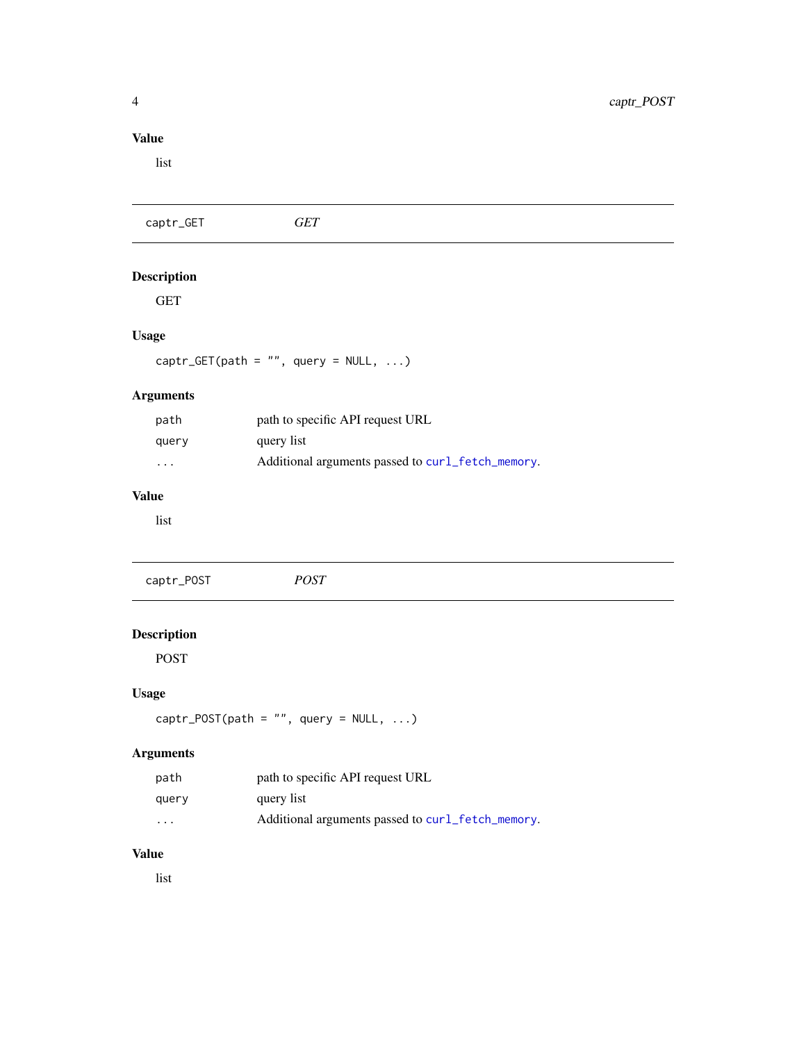# <span id="page-3-0"></span>Value

list

<span id="page-3-1"></span>

| <b>GET</b>                                        |
|---------------------------------------------------|
|                                                   |
|                                                   |
|                                                   |
| captr_GET(path = "", query = $NULL, )$            |
|                                                   |
| path to specific API request URL                  |
| query list                                        |
| Additional arguments passed to curl_fetch_memory. |
|                                                   |
|                                                   |
| <b>POST</b>                                       |
|                                                   |

# <span id="page-3-2"></span>Description

POST

# Usage

 $captr_POST(path = "", query = NULL, ...)$ 

# Arguments

| path                    | path to specific API request URL                  |
|-------------------------|---------------------------------------------------|
| query                   | query list                                        |
| $\cdot$ $\cdot$ $\cdot$ | Additional arguments passed to curl_fetch_memory. |

# Value

list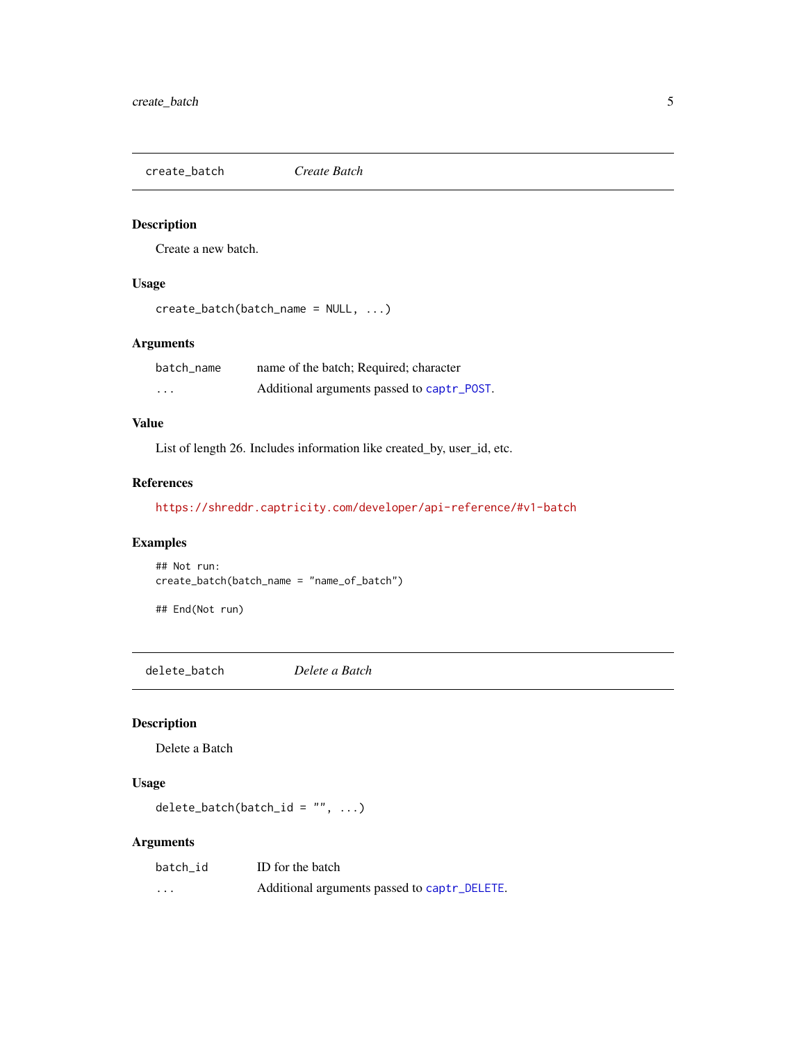<span id="page-4-0"></span>create\_batch *Create Batch*

# Description

Create a new batch.

# Usage

```
create_batch(batch_name = NULL, ...)
```
# Arguments

| batch_name              | name of the batch; Required; character     |
|-------------------------|--------------------------------------------|
| $\cdot$ $\cdot$ $\cdot$ | Additional arguments passed to captr_POST. |

# Value

List of length 26. Includes information like created\_by, user\_id, etc.

# References

<https://shreddr.captricity.com/developer/api-reference/#v1-batch>

# Examples

## Not run: create\_batch(batch\_name = "name\_of\_batch")

## End(Not run)

delete\_batch *Delete a Batch*

# Description

Delete a Batch

# Usage

```
delete_batch(batch_id = ", ...)
```

| batch id | ID for the batch                             |
|----------|----------------------------------------------|
| $\cdots$ | Additional arguments passed to captr_DELETE. |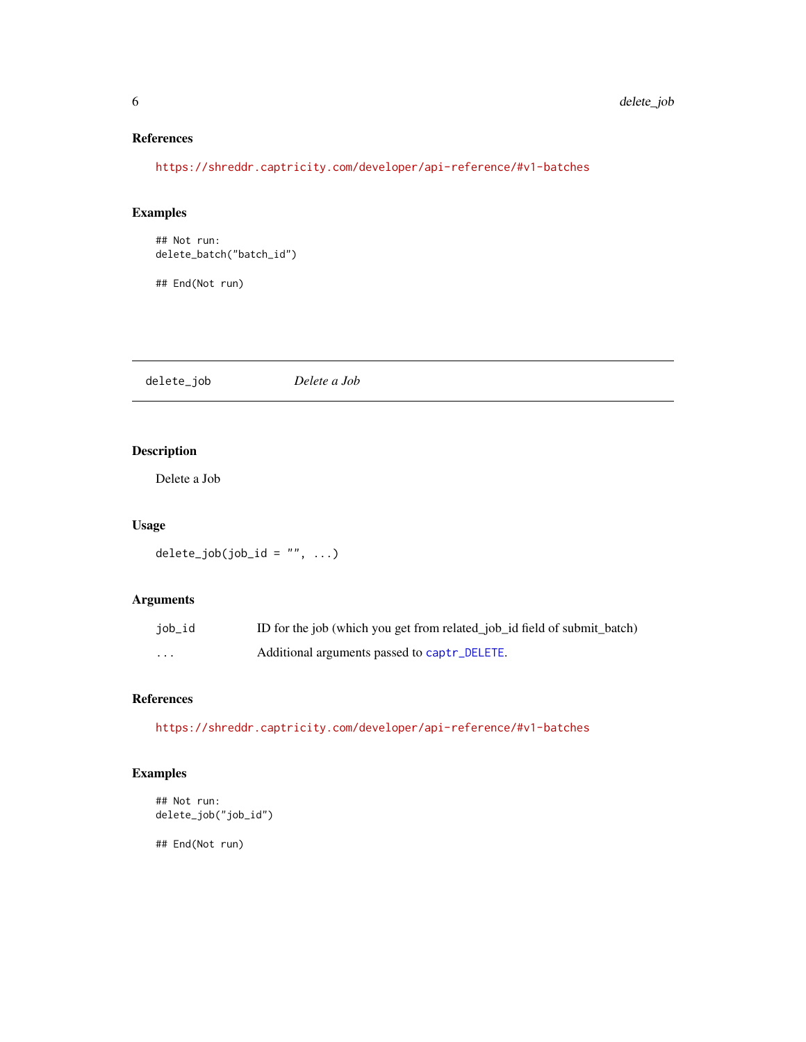# References

<https://shreddr.captricity.com/developer/api-reference/#v1-batches>

# Examples

```
## Not run:
delete_batch("batch_id")
```
## End(Not run)

delete\_job *Delete a Job*

# Description

Delete a Job

# Usage

 $delete\_job(job\_id = "", ...)$ 

# Arguments

| job_id | ID for the job (which you get from related job id field of submit batch) |
|--------|--------------------------------------------------------------------------|
| .      | Additional arguments passed to captr_DELETE.                             |

# References

<https://shreddr.captricity.com/developer/api-reference/#v1-batches>

# Examples

```
## Not run:
delete_job("job_id")
```
<span id="page-5-0"></span>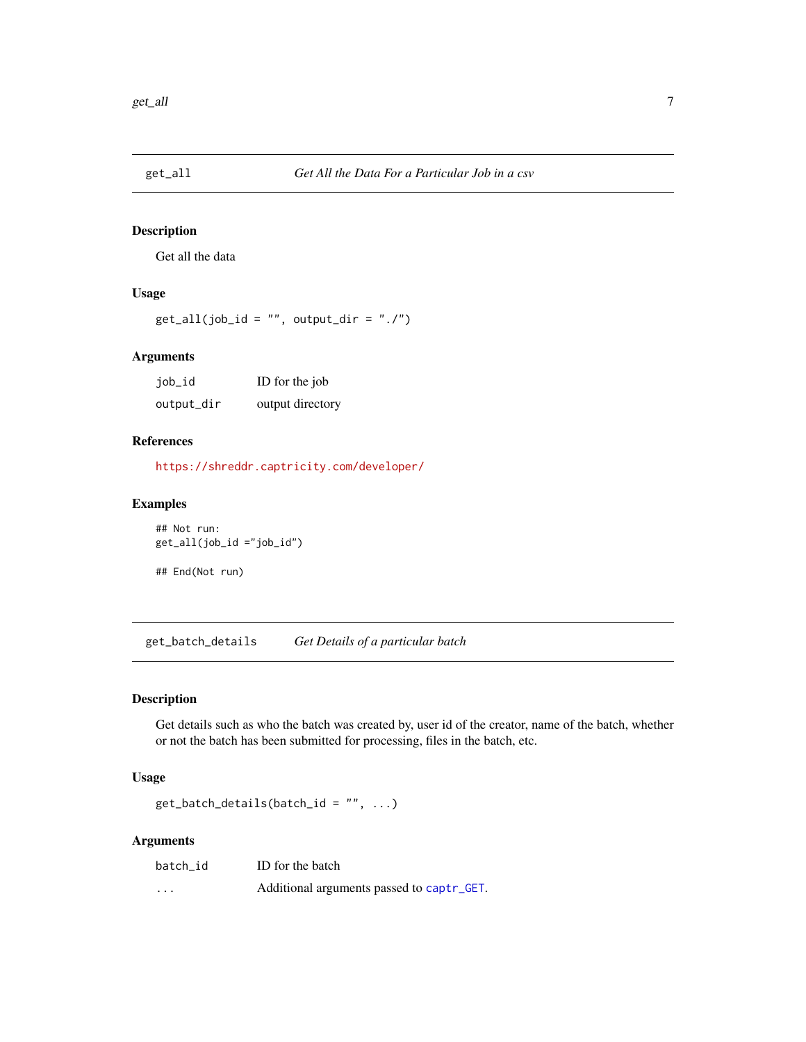<span id="page-6-0"></span>

Get all the data

# Usage

 $get\_all(job\_id = "", output\_dir = "./")$ 

# Arguments

| job_id     | ID for the job   |
|------------|------------------|
| output_dir | output directory |

# References

<https://shreddr.captricity.com/developer/>

# Examples

## Not run: get\_all(job\_id ="job\_id") ## End(Not run)

get\_batch\_details *Get Details of a particular batch*

# Description

Get details such as who the batch was created by, user id of the creator, name of the batch, whether or not the batch has been submitted for processing, files in the batch, etc.

#### Usage

 $get\_batch\_details(batch\_id = "", ...)$ 

| batch id | ID for the batch                          |
|----------|-------------------------------------------|
| $\cdots$ | Additional arguments passed to captr_GET. |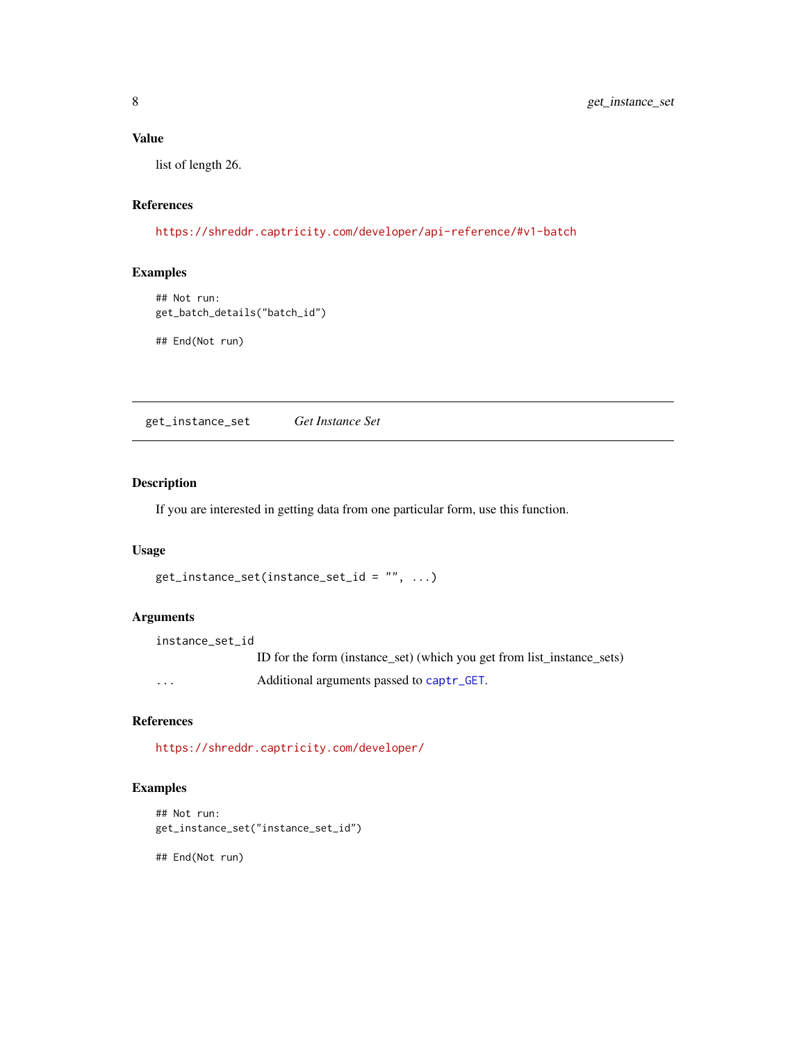# <span id="page-7-0"></span>Value

list of length 26.

# References

<https://shreddr.captricity.com/developer/api-reference/#v1-batch>

# Examples

```
## Not run:
get_batch_details("batch_id")
```
## End(Not run)

get\_instance\_set *Get Instance Set*

#### Description

If you are interested in getting data from one particular form, use this function.

# Usage

```
get_instance_set(instance_set_id = "", ...)
```
# Arguments

instance\_set\_id ID for the form (instance\_set) (which you get from list\_instance\_sets) ... Additional arguments passed to [captr\\_GET](#page-3-1).

# References

<https://shreddr.captricity.com/developer/>

# Examples

```
## Not run:
get_instance_set("instance_set_id")
```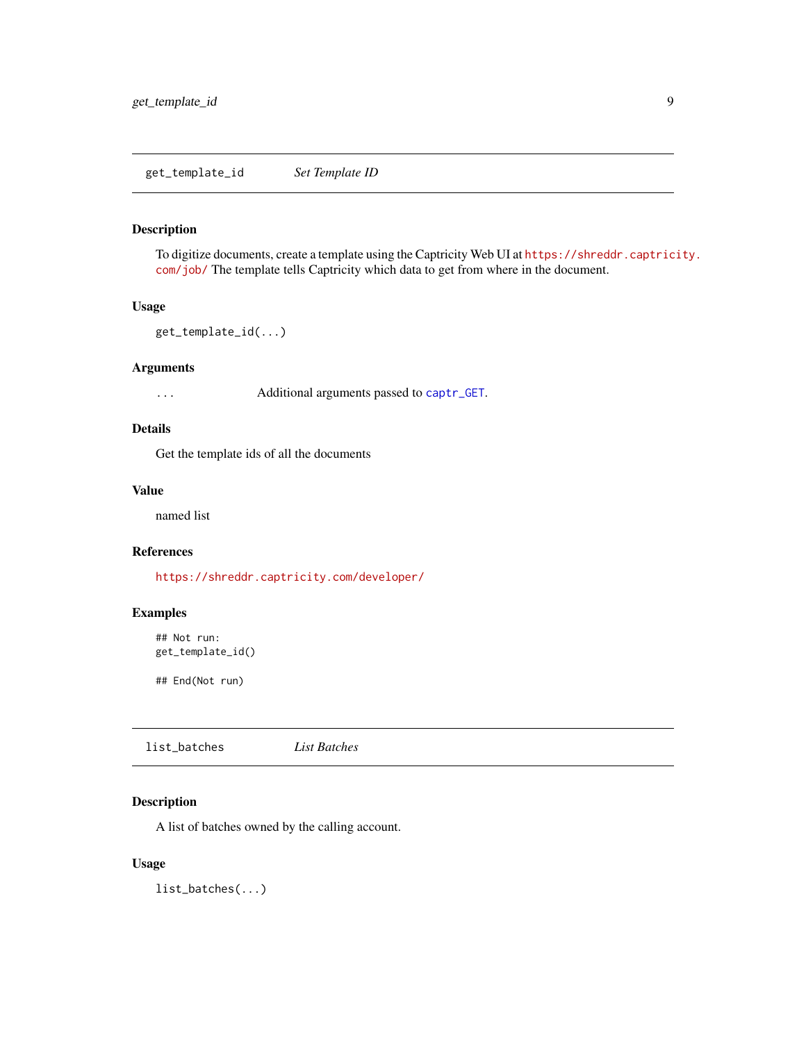<span id="page-8-0"></span>To digitize documents, create a template using the Captricity Web UI at [https://shreddr.captric](https://shreddr.captricity.com/job/)ity. [com/job/](https://shreddr.captricity.com/job/) The template tells Captricity which data to get from where in the document.

# Usage

```
get_template_id(...)
```
# Arguments

... Additional arguments passed to [captr\\_GET](#page-3-1).

# Details

Get the template ids of all the documents

#### Value

named list

# References

<https://shreddr.captricity.com/developer/>

# Examples

```
## Not run:
get_template_id()
```
## End(Not run)

|  | list_batches | List Batches |  |
|--|--------------|--------------|--|
|--|--------------|--------------|--|

# Description

A list of batches owned by the calling account.

# Usage

list\_batches(...)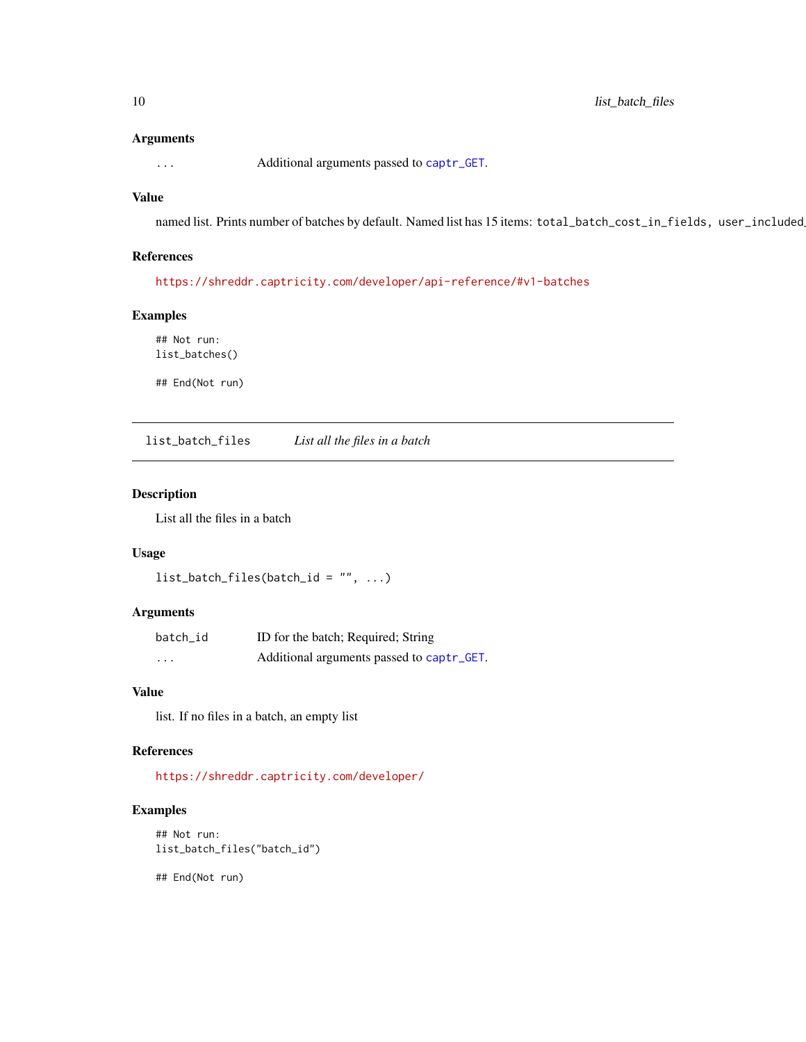#### <span id="page-9-0"></span>Arguments

... Additional arguments passed to [captr\\_GET](#page-3-1).

# Value

named list. Prints number of batches by default. Named list has 15 items: total\_batch\_cost\_in\_fields, user\_included

#### References

<https://shreddr.captricity.com/developer/api-reference/#v1-batches>

# Examples

## Not run: list\_batches()

## End(Not run)

list\_batch\_files *List all the files in a batch*

# Description

List all the files in a batch

# Usage

```
list\_batch\_files(batch\_id = "", ...)
```
# Arguments

| batch id | ID for the batch; Required; String        |
|----------|-------------------------------------------|
| $\cdots$ | Additional arguments passed to captr_GET. |

# Value

list. If no files in a batch, an empty list

## References

<https://shreddr.captricity.com/developer/>

# Examples

```
## Not run:
list_batch_files("batch_id")
```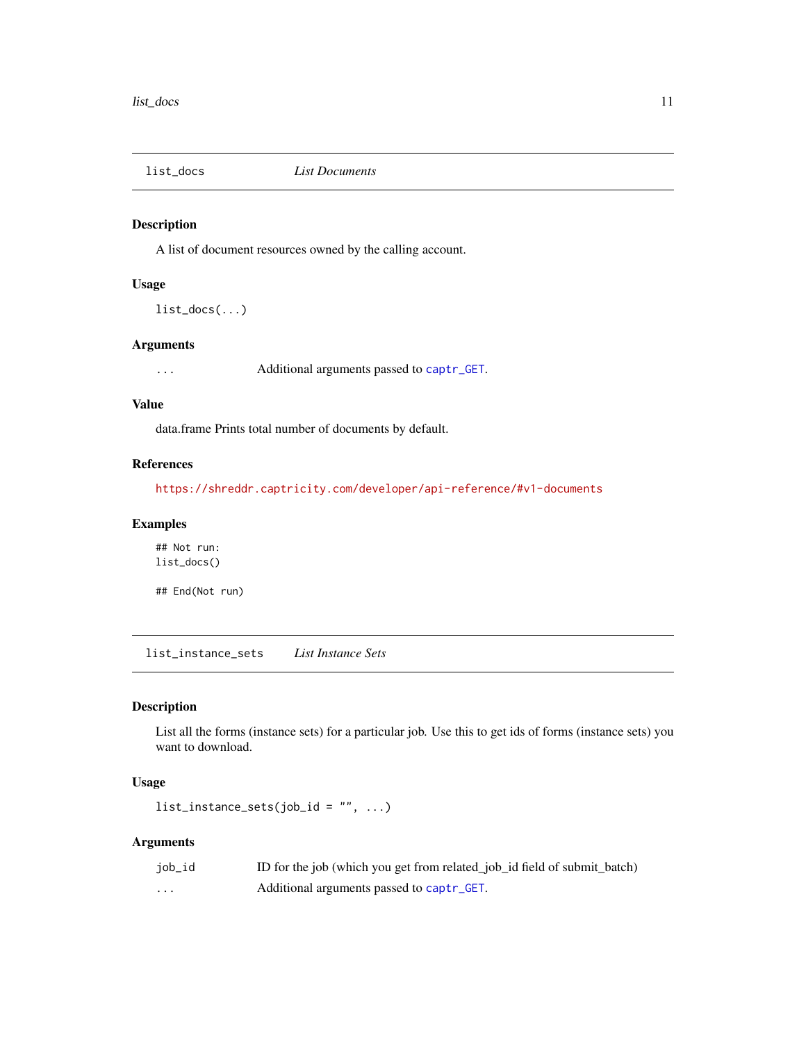<span id="page-10-0"></span>

A list of document resources owned by the calling account.

#### Usage

list\_docs(...)

# Arguments

... Additional arguments passed to [captr\\_GET](#page-3-1).

# Value

data.frame Prints total number of documents by default.

# References

<https://shreddr.captricity.com/developer/api-reference/#v1-documents>

#### Examples

## Not run: list\_docs()

## End(Not run)

list\_instance\_sets *List Instance Sets*

# Description

List all the forms (instance sets) for a particular job. Use this to get ids of forms (instance sets) you want to download.

# Usage

 $list\_instance\_sets(job_id = "", ...)$ 

| job_id | ID for the job (which you get from related_job_id field of submit_batch) |
|--------|--------------------------------------------------------------------------|
| .      | Additional arguments passed to captr_GET.                                |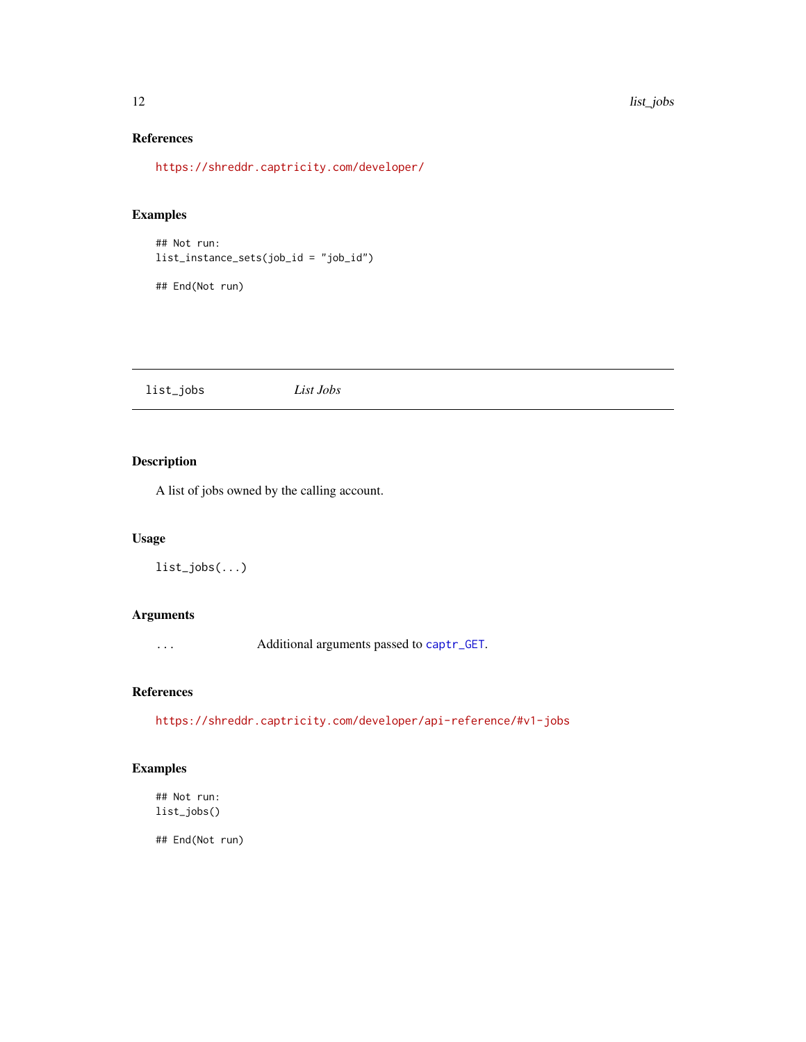#### 12 list\_jobs and the set of the set of the set of the set of the set of the set of the set of the set of the set of the set of the set of the set of the set of the set of the set of the set of the set of the set of the set

# References

<https://shreddr.captricity.com/developer/>

# Examples

## Not run: list\_instance\_sets(job\_id = "job\_id")

## End(Not run)

list\_jobs *List Jobs*

# Description

A list of jobs owned by the calling account.

# Usage

```
list_jobs(...)
```
# Arguments

... Additional arguments passed to [captr\\_GET](#page-3-1).

# References

<https://shreddr.captricity.com/developer/api-reference/#v1-jobs>

# Examples

## Not run: list\_jobs()

<span id="page-11-0"></span>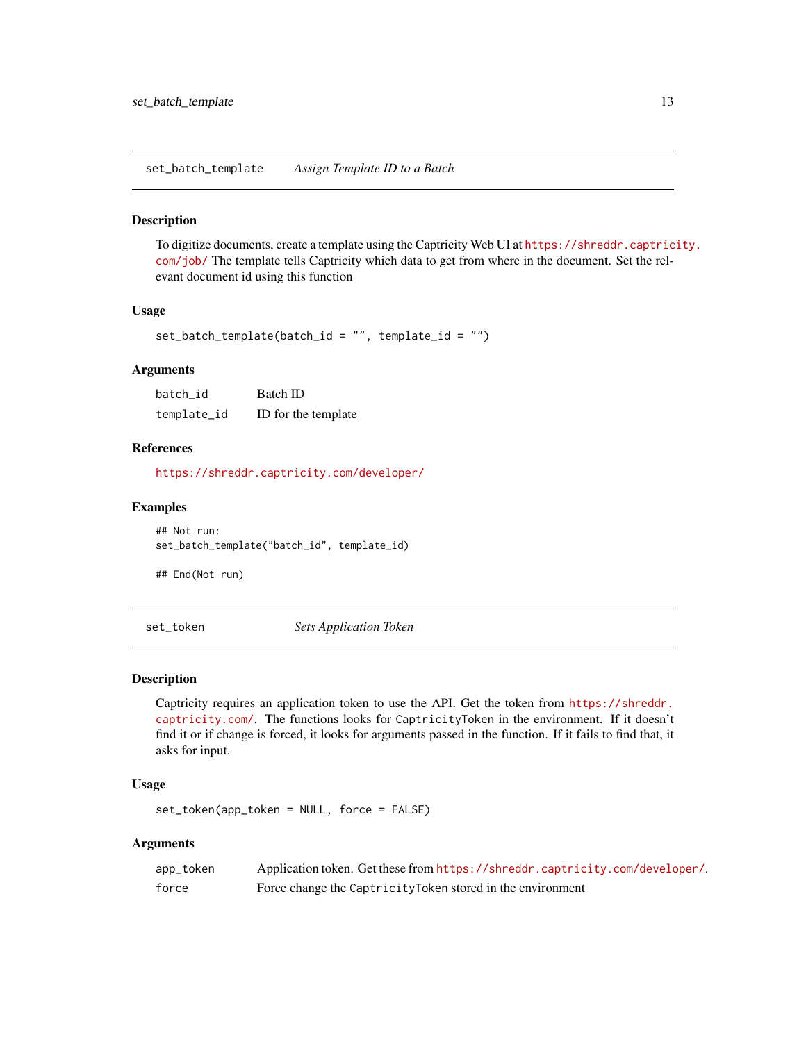<span id="page-12-0"></span>set\_batch\_template *Assign Template ID to a Batch*

#### Description

To digitize documents, create a template using the Captricity Web UI at [https://shreddr.captric](https://shreddr.captricity.com/job/)ity. [com/job/](https://shreddr.captricity.com/job/) The template tells Captricity which data to get from where in the document. Set the relevant document id using this function

# Usage

```
set_batch_template(batch_id = "", template_id = "")
```
#### Arguments

| batch id    | Batch ID            |
|-------------|---------------------|
| template_id | ID for the template |

# References

<https://shreddr.captricity.com/developer/>

#### Examples

## Not run: set\_batch\_template("batch\_id", template\_id)

## End(Not run)

set\_token *Sets Application Token*

#### Description

Captricity requires an application token to use the API. Get the token from [https://shreddr.](https://shreddr.captricity.com/) [captricity.com/](https://shreddr.captricity.com/). The functions looks for CaptricityToken in the environment. If it doesn't find it or if change is forced, it looks for arguments passed in the function. If it fails to find that, it asks for input.

#### Usage

set\_token(app\_token = NULL, force = FALSE)

| app_token | Application token. Get these from https://shreddr.captricity.com/developer/. |
|-----------|------------------------------------------------------------------------------|
| force     | Force change the Captricity Token stored in the environment                  |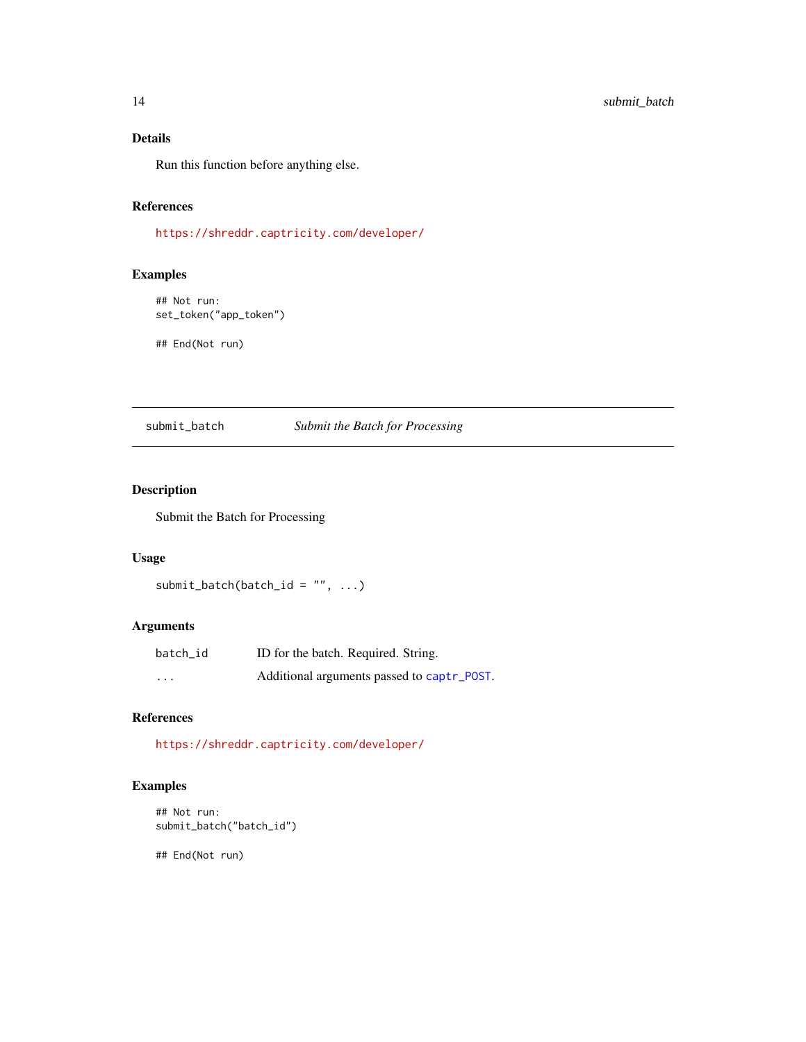# <span id="page-13-0"></span>Details

Run this function before anything else.

# References

<https://shreddr.captricity.com/developer/>

# Examples

## Not run: set\_token("app\_token")

## End(Not run)

# submit\_batch *Submit the Batch for Processing*

# Description

Submit the Batch for Processing

# Usage

```
submit_batch(batch_id = ", ...)
```
# Arguments

| batch id | ID for the batch. Required. String.        |
|----------|--------------------------------------------|
| $\cdots$ | Additional arguments passed to captr_POST. |

### References

<https://shreddr.captricity.com/developer/>

# Examples

```
## Not run:
submit_batch("batch_id")
```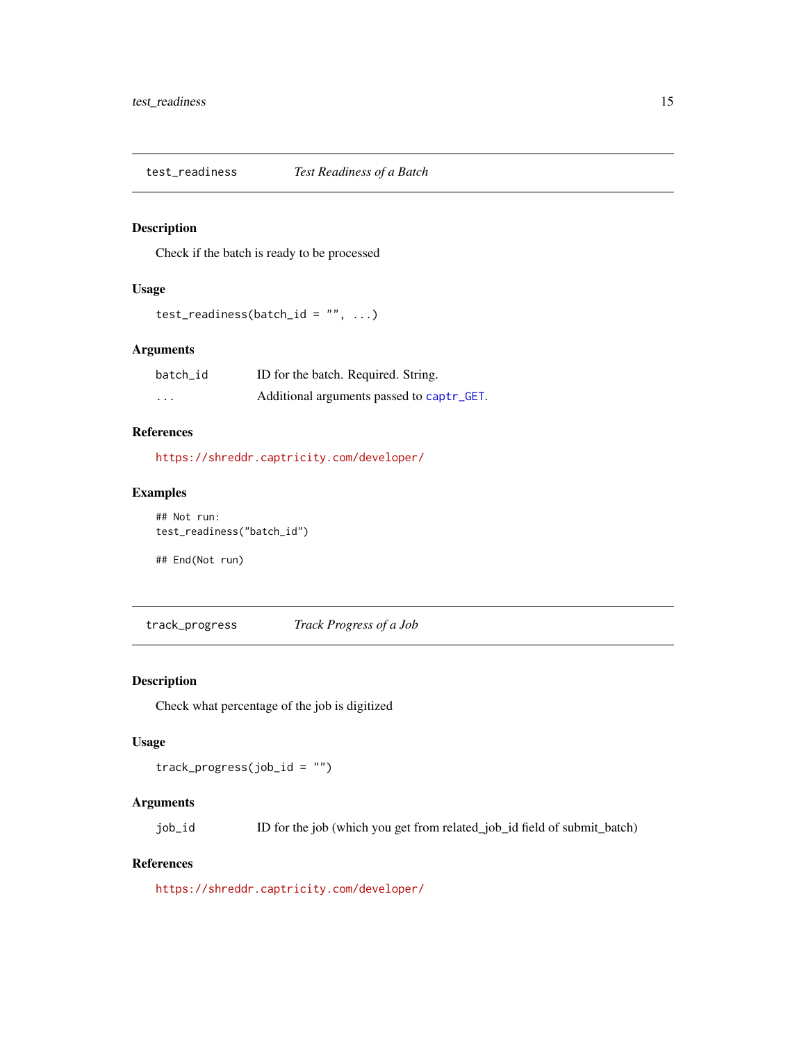<span id="page-14-0"></span>

Check if the batch is ready to be processed

# Usage

```
test_readiness(batch_id = ", ...)
```
# Arguments

| batch id | ID for the batch. Required. String.       |
|----------|-------------------------------------------|
| $\cdots$ | Additional arguments passed to captr_GET. |

# References

<https://shreddr.captricity.com/developer/>

# Examples

```
## Not run:
test_readiness("batch_id")
```
## End(Not run)

track\_progress *Track Progress of a Job*

# Description

Check what percentage of the job is digitized

# Usage

track\_progress(job\_id = "")

# Arguments

job\_id ID for the job (which you get from related\_job\_id field of submit\_batch)

### References

<https://shreddr.captricity.com/developer/>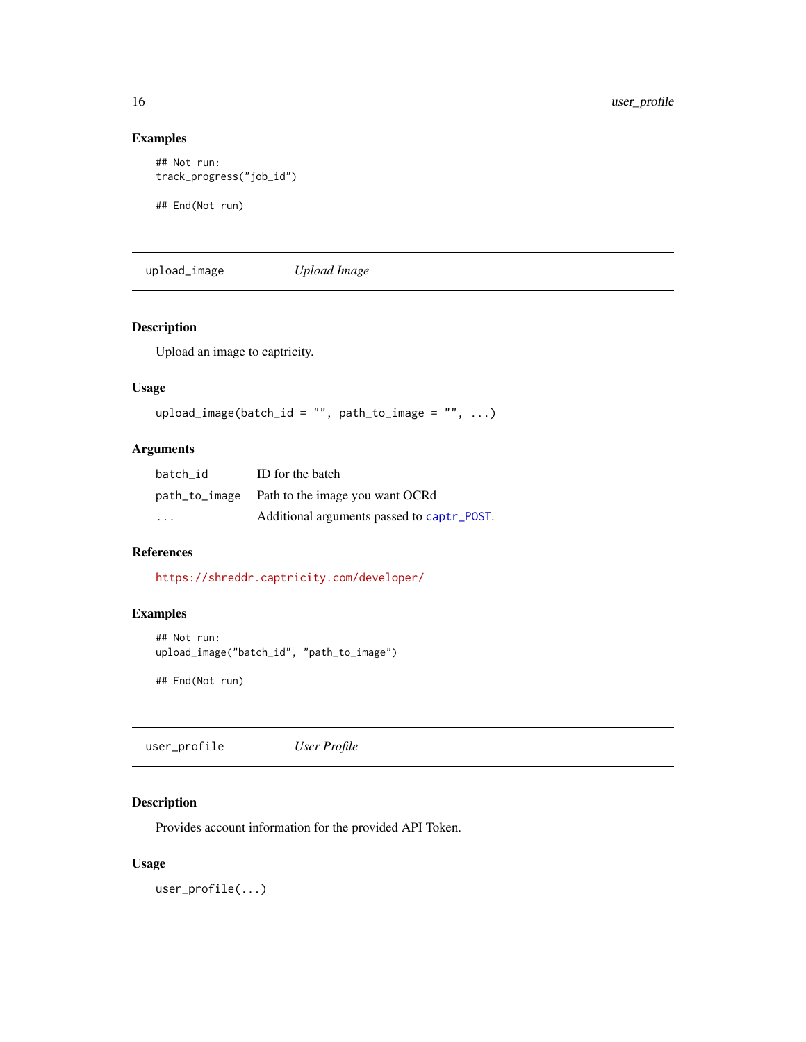# Examples

```
## Not run:
track_progress("job_id")
```
## End(Not run)

upload\_image *Upload Image*

# Description

Upload an image to captricity.

#### Usage

```
upload_image(batch_id = "", path_to_image = "", \ldots)
```
# Arguments

| batch id                | ID for the batch                              |
|-------------------------|-----------------------------------------------|
|                         | path_to_image Path to the image you want OCRd |
| $\cdot$ $\cdot$ $\cdot$ | Additional arguments passed to captr_POST.    |

# References

<https://shreddr.captricity.com/developer/>

# Examples

```
## Not run:
upload_image("batch_id", "path_to_image")
```
## End(Not run)

user\_profile *User Profile*

# Description

Provides account information for the provided API Token.

# Usage

user\_profile(...)

<span id="page-15-0"></span>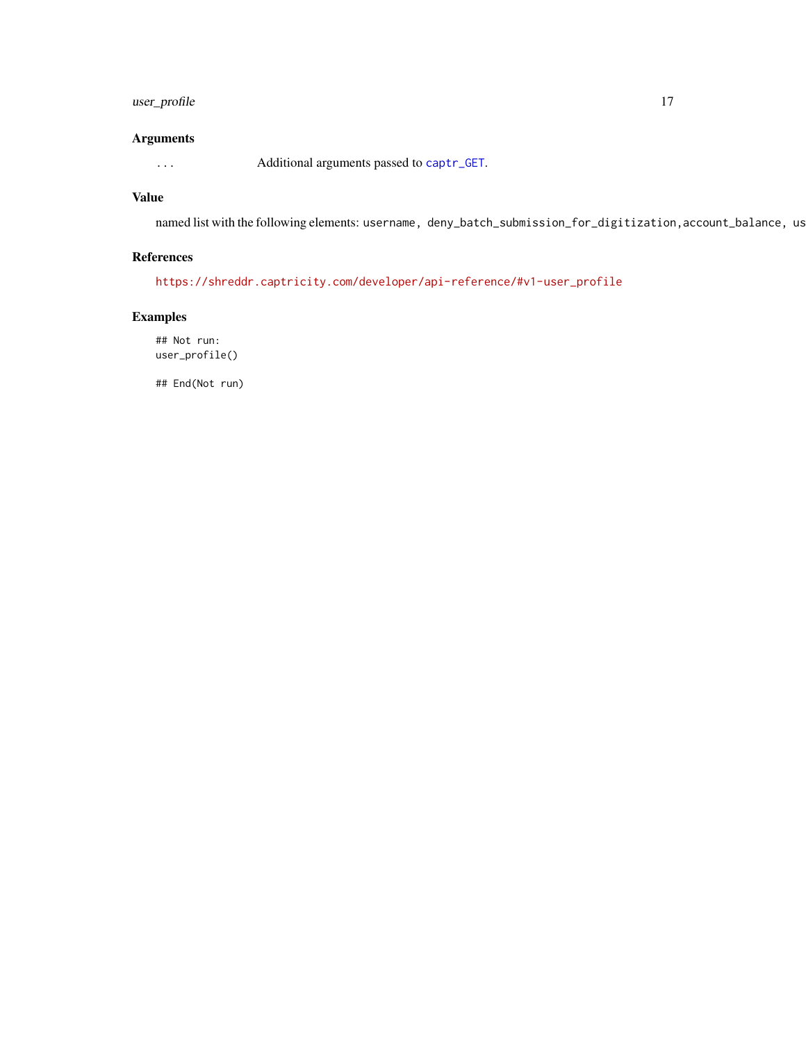# <span id="page-16-0"></span>user\_profile 17

# Arguments

... Additional arguments passed to [captr\\_GET](#page-3-1).

#### Value

named list with the following elements: username, deny\_batch\_submission\_for\_digitization, account\_balance, us

# References

[https://shreddr.captricity.com/developer/api-reference/#v1-user\\_profile](https://shreddr.captricity.com/developer/api-reference/#v1-user_profile)

# Examples

## Not run: user\_profile()